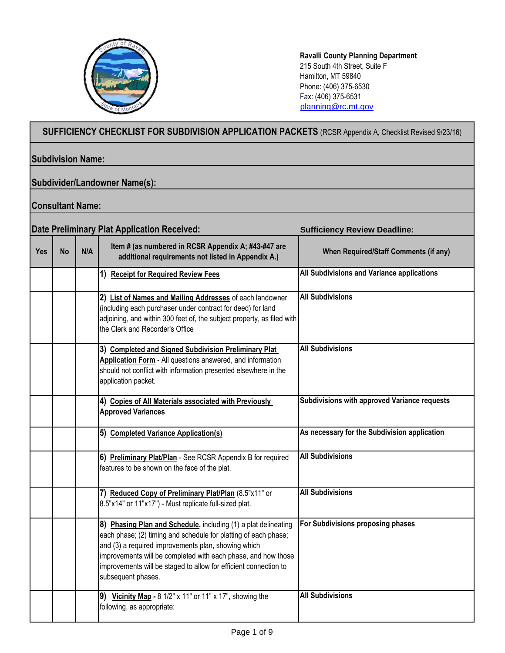

**Ravalli County Planning Department** 215 South 4th Street, Suite F Hamilton, MT 59840 Phone: (406) 375-6530 Fax: (406) 375-6531 [planning@rc.mt.gov](mailto:planning@rc.mt.gov)

## **SUFFICIENCY CHECKLIST FOR SUBDIVISION APPLICATION PACKETS** (RCSR Appendix A, Checklist Revised 9/23/16)

## **Subdivision Name:**

## **Subdivider/Landowner Name(s):**

## **Consultant Name:**

|            |           |     | <b>Date Preliminary Plat Application Received:</b>                                                                                                                                                                                                                                                                                                  | <b>Sufficiency Review Deadline:</b>          |
|------------|-----------|-----|-----------------------------------------------------------------------------------------------------------------------------------------------------------------------------------------------------------------------------------------------------------------------------------------------------------------------------------------------------|----------------------------------------------|
| <b>Yes</b> | <b>No</b> | N/A | Item # (as numbered in RCSR Appendix A; #43-#47 are<br>additional requirements not listed in Appendix A.)                                                                                                                                                                                                                                           | <b>When Required/Staff Comments (if any)</b> |
|            |           |     | 1) Receipt for Required Review Fees                                                                                                                                                                                                                                                                                                                 | All Subdivisions and Variance applications   |
|            |           |     | 2) List of Names and Mailing Addresses of each landowner<br>(including each purchaser under contract for deed) for land<br>adjoining, and within 300 feet of, the subject property, as filed with<br>the Clerk and Recorder's Office                                                                                                                | <b>All Subdivisions</b>                      |
|            |           |     | 3) Completed and Signed Subdivision Preliminary Plat<br>Application Form - All questions answered, and information<br>should not conflict with information presented elsewhere in the<br>application packet.                                                                                                                                        | <b>All Subdivisions</b>                      |
|            |           |     | 4) Copies of All Materials associated with Previously<br><b>Approved Variances</b>                                                                                                                                                                                                                                                                  | Subdivisions with approved Variance requests |
|            |           |     | 5) Completed Variance Application(s)                                                                                                                                                                                                                                                                                                                | As necessary for the Subdivision application |
|            |           |     | 6) Preliminary Plat/Plan - See RCSR Appendix B for required<br>features to be shown on the face of the plat.                                                                                                                                                                                                                                        | <b>All Subdivisions</b>                      |
|            |           |     | 7) Reduced Copy of Preliminary Plat/Plan (8.5"x11" or<br>8.5"x14" or 11"x17") - Must replicate full-sized plat.                                                                                                                                                                                                                                     | <b>All Subdivisions</b>                      |
|            |           |     | 8) Phasing Plan and Schedule, including (1) a plat delineating<br>each phase; (2) timing and schedule for platting of each phase;<br>and (3) a required improvements plan, showing which<br>improvements will be completed with each phase, and how those<br>improvements will be staged to allow for efficient connection to<br>subsequent phases. | For Subdivisions proposing phases            |
|            |           |     | 9) Vicinity Map - $81/2$ " x 11" or 11" x 17", showing the<br>following, as appropriate:                                                                                                                                                                                                                                                            | <b>All Subdivisions</b>                      |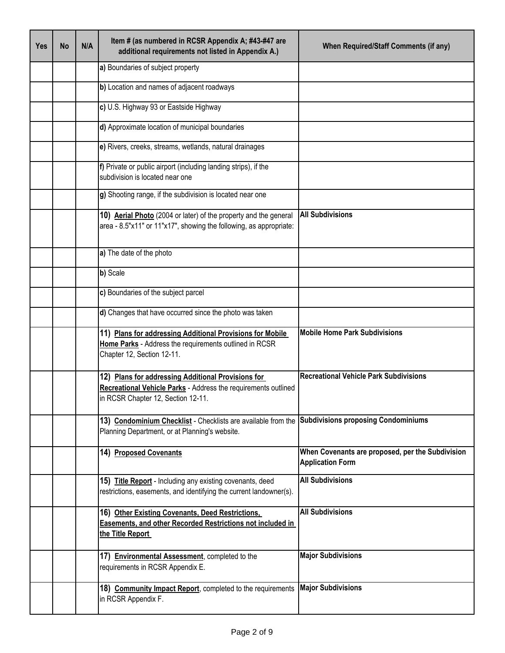| <b>Yes</b> | <b>No</b> | N/A | Item # (as numbered in RCSR Appendix A; #43-#47 are<br>additional requirements not listed in Appendix A.)                                                  | <b>When Required/Staff Comments (if any)</b>                                |
|------------|-----------|-----|------------------------------------------------------------------------------------------------------------------------------------------------------------|-----------------------------------------------------------------------------|
|            |           |     | a) Boundaries of subject property                                                                                                                          |                                                                             |
|            |           |     | b) Location and names of adjacent roadways                                                                                                                 |                                                                             |
|            |           |     | c) U.S. Highway 93 or Eastside Highway                                                                                                                     |                                                                             |
|            |           |     | d) Approximate location of municipal boundaries                                                                                                            |                                                                             |
|            |           |     | e) Rivers, creeks, streams, wetlands, natural drainages                                                                                                    |                                                                             |
|            |           |     | f) Private or public airport (including landing strips), if the<br>subdivision is located near one                                                         |                                                                             |
|            |           |     | g) Shooting range, if the subdivision is located near one                                                                                                  |                                                                             |
|            |           |     | 10) Aerial Photo (2004 or later) of the property and the general<br>area - 8.5"x11" or 11"x17", showing the following, as appropriate:                     | <b>All Subdivisions</b>                                                     |
|            |           |     | a) The date of the photo                                                                                                                                   |                                                                             |
|            |           |     | b) Scale                                                                                                                                                   |                                                                             |
|            |           |     | c) Boundaries of the subject parcel                                                                                                                        |                                                                             |
|            |           |     | d) Changes that have occurred since the photo was taken                                                                                                    |                                                                             |
|            |           |     | 11) Plans for addressing Additional Provisions for Mobile<br>Home Parks - Address the requirements outlined in RCSR<br>Chapter 12, Section 12-11.          | <b>Mobile Home Park Subdivisions</b>                                        |
|            |           |     | 12) Plans for addressing Additional Provisions for<br>Recreational Vehicle Parks - Address the requirements outlined<br>in RCSR Chapter 12, Section 12-11. | <b>Recreational Vehicle Park Subdivisions</b>                               |
|            |           |     | 13) Condominium Checklist - Checklists are available from the Subdivisions proposing Condominiums<br>Planning Department, or at Planning's website.        |                                                                             |
|            |           |     | 14) Proposed Covenants                                                                                                                                     | When Covenants are proposed, per the Subdivision<br><b>Application Form</b> |
|            |           |     | 15) Title Report - Including any existing covenants, deed<br>restrictions, easements, and identifying the current landowner(s).                            | <b>All Subdivisions</b>                                                     |
|            |           |     | 16) Other Existing Covenants, Deed Restrictions,<br>Easements, and other Recorded Restrictions not included in<br>the Title Report                         | <b>All Subdivisions</b>                                                     |
|            |           |     | 17) Environmental Assessment, completed to the<br>requirements in RCSR Appendix E.                                                                         | <b>Major Subdivisions</b>                                                   |
|            |           |     | 18) Community Impact Report, completed to the requirements<br>in RCSR Appendix F.                                                                          | <b>Major Subdivisions</b>                                                   |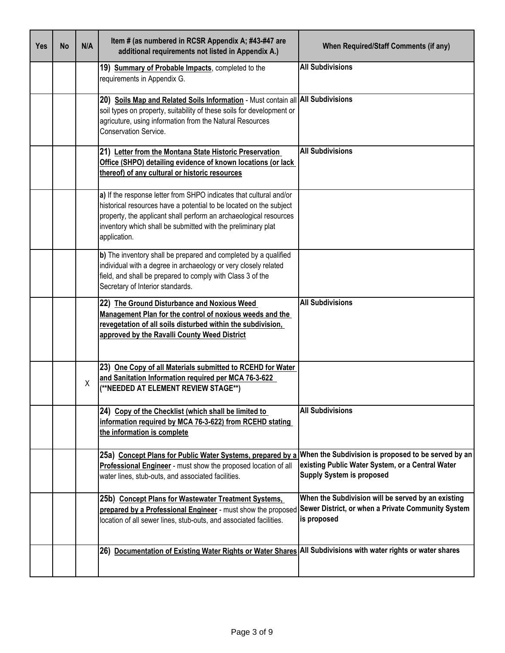| <b>Yes</b> | <b>No</b> | N/A | Item # (as numbered in RCSR Appendix A; #43-#47 are<br>additional requirements not listed in Appendix A.)                                                                                                                                                                                     | When Required/Staff Comments (if any)                                                                                                       |
|------------|-----------|-----|-----------------------------------------------------------------------------------------------------------------------------------------------------------------------------------------------------------------------------------------------------------------------------------------------|---------------------------------------------------------------------------------------------------------------------------------------------|
|            |           |     | 19) Summary of Probable Impacts, completed to the<br>requirements in Appendix G.                                                                                                                                                                                                              | <b>All Subdivisions</b>                                                                                                                     |
|            |           |     | 20) Soils Map and Related Soils Information - Must contain all All Subdivisions<br>soil types on property, suitability of these soils for development or<br>agricuture, using information from the Natural Resources<br>Conservation Service.                                                 |                                                                                                                                             |
|            |           |     | 21) Letter from the Montana State Historic Preservation<br>Office (SHPO) detailing evidence of known locations (or lack<br>thereof) of any cultural or historic resources                                                                                                                     | <b>All Subdivisions</b>                                                                                                                     |
|            |           |     | a) If the response letter from SHPO indicates that cultural and/or<br>historical resources have a potential to be located on the subject<br>property, the applicant shall perform an archaeological resources<br>inventory which shall be submitted with the preliminary plat<br>application. |                                                                                                                                             |
|            |           |     | b) The inventory shall be prepared and completed by a qualified<br>individual with a degree in archaeology or very closely related<br>field, and shall be prepared to comply with Class 3 of the<br>Secretary of Interior standards.                                                          |                                                                                                                                             |
|            |           |     | 22) The Ground Disturbance and Noxious Weed<br>Management Plan for the control of noxious weeds and the<br>revegetation of all soils disturbed within the subdivision,<br>approved by the Ravalli County Weed District                                                                        | <b>All Subdivisions</b>                                                                                                                     |
|            |           | X   | 23) One Copy of all Materials submitted to RCEHD for Water<br>and Sanitation Information required per MCA 76-3-622<br>(**NEEDED AT ELEMENT REVIEW STAGE**)                                                                                                                                    |                                                                                                                                             |
|            |           |     | 24) Copy of the Checklist (which shall be limited to<br>information required by MCA 76-3-622) from RCEHD stating<br>the information is complete                                                                                                                                               | <b>All Subdivisions</b>                                                                                                                     |
|            |           |     | 25a) Concept Plans for Public Water Systems, prepared by a<br>Professional Engineer - must show the proposed location of all<br>water lines, stub-outs, and associated facilities.                                                                                                            | When the Subdivision is proposed to be served by an<br>existing Public Water System, or a Central Water<br><b>Supply System is proposed</b> |
|            |           |     | 25b) Concept Plans for Wastewater Treatment Systems,<br>prepared by a Professional Engineer - must show the proposed<br>location of all sewer lines, stub-outs, and associated facilities.                                                                                                    | When the Subdivision will be served by an existing<br>Sewer District, or when a Private Community System<br>is proposed                     |
|            |           |     | 26) Documentation of Existing Water Rights or Water Shares All Subdivisions with water rights or water shares                                                                                                                                                                                 |                                                                                                                                             |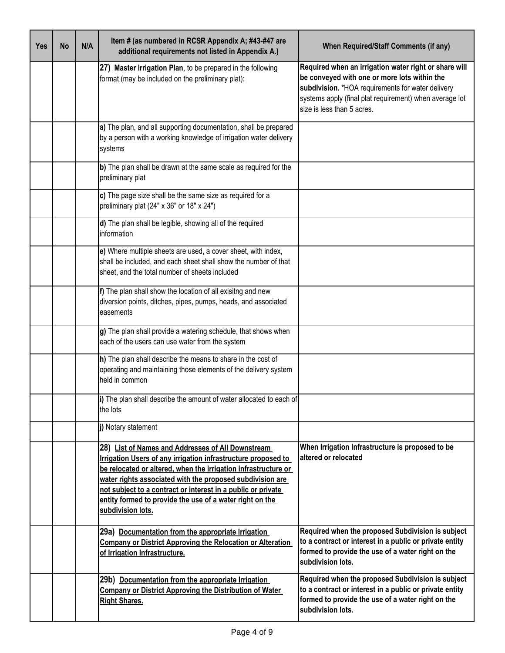| <b>Yes</b> | <b>No</b> | N/A | Item # (as numbered in RCSR Appendix A; #43-#47 are<br>additional requirements not listed in Appendix A.)                                                                                                                                                                                                                                                                                          | <b>When Required/Staff Comments (if any)</b>                                                                                                                                                                                                        |
|------------|-----------|-----|----------------------------------------------------------------------------------------------------------------------------------------------------------------------------------------------------------------------------------------------------------------------------------------------------------------------------------------------------------------------------------------------------|-----------------------------------------------------------------------------------------------------------------------------------------------------------------------------------------------------------------------------------------------------|
|            |           |     | 27) Master Irrigation Plan, to be prepared in the following<br>format (may be included on the preliminary plat):                                                                                                                                                                                                                                                                                   | Required when an irrigation water right or share will<br>be conveyed with one or more lots within the<br>subdivision. *HOA requirements for water delivery<br>systems apply (final plat requirement) when average lot<br>size is less than 5 acres. |
|            |           |     | a) The plan, and all supporting documentation, shall be prepared<br>by a person with a working knowledge of irrigation water delivery<br>systems                                                                                                                                                                                                                                                   |                                                                                                                                                                                                                                                     |
|            |           |     | b) The plan shall be drawn at the same scale as required for the<br>preliminary plat                                                                                                                                                                                                                                                                                                               |                                                                                                                                                                                                                                                     |
|            |           |     | c) The page size shall be the same size as required for a<br>preliminary plat (24" x 36" or 18" x 24")                                                                                                                                                                                                                                                                                             |                                                                                                                                                                                                                                                     |
|            |           |     | d) The plan shall be legible, showing all of the required<br>information                                                                                                                                                                                                                                                                                                                           |                                                                                                                                                                                                                                                     |
|            |           |     | e) Where multiple sheets are used, a cover sheet, with index,<br>shall be included, and each sheet shall show the number of that<br>sheet, and the total number of sheets included                                                                                                                                                                                                                 |                                                                                                                                                                                                                                                     |
|            |           |     | f) The plan shall show the location of all exisitng and new<br>diversion points, ditches, pipes, pumps, heads, and associated<br>easements                                                                                                                                                                                                                                                         |                                                                                                                                                                                                                                                     |
|            |           |     | g) The plan shall provide a watering schedule, that shows when<br>each of the users can use water from the system                                                                                                                                                                                                                                                                                  |                                                                                                                                                                                                                                                     |
|            |           |     | h) The plan shall describe the means to share in the cost of<br>operating and maintaining those elements of the delivery system<br>held in common                                                                                                                                                                                                                                                  |                                                                                                                                                                                                                                                     |
|            |           |     | i) The plan shall describe the amount of water allocated to each of<br>the lots                                                                                                                                                                                                                                                                                                                    |                                                                                                                                                                                                                                                     |
|            |           |     | j) Notary statement                                                                                                                                                                                                                                                                                                                                                                                |                                                                                                                                                                                                                                                     |
|            |           |     | 28) List of Names and Addresses of All Downstream<br>Irrigation Users of any irrigation infrastructure proposed to<br>be relocated or altered, when the irrigation infrastructure or<br>water rights associated with the proposed subdivision are<br>not subject to a contract or interest in a public or private<br>entity formed to provide the use of a water right on the<br>subdivision lots. | When Irrigation Infrastructure is proposed to be<br>altered or relocated                                                                                                                                                                            |
|            |           |     | 29a) Documentation from the appropriate Irrigation<br><b>Company or District Approving the Relocation or Alteration</b><br>of Irrigation Infrastructure.                                                                                                                                                                                                                                           | Required when the proposed Subdivision is subject<br>to a contract or interest in a public or private entity<br>formed to provide the use of a water right on the<br>subdivision lots.                                                              |
|            |           |     | 29b) Documentation from the appropriate Irrigation<br><b>Company or District Approving the Distribution of Water</b><br><b>Right Shares.</b>                                                                                                                                                                                                                                                       | Required when the proposed Subdivision is subject<br>to a contract or interest in a public or private entity<br>formed to provide the use of a water right on the<br>subdivision lots.                                                              |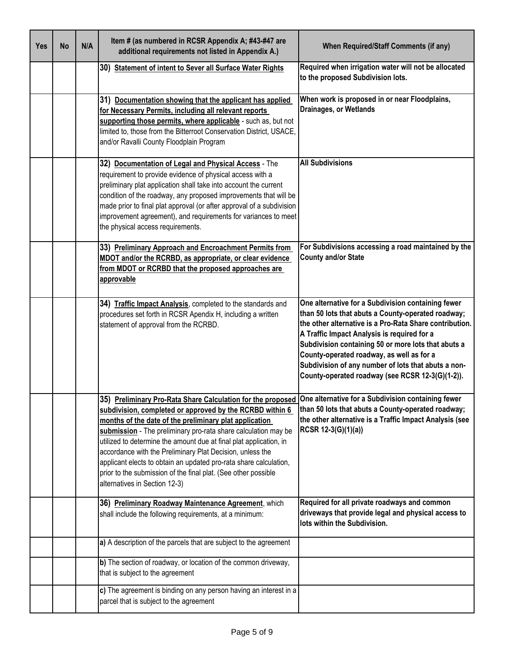| <b>Yes</b> | <b>No</b> | N/A | Item # (as numbered in RCSR Appendix A; #43-#47 are<br>additional requirements not listed in Appendix A.)                                                                                                                                                                                                                                                                                                                                                                                                                                                                                                         | <b>When Required/Staff Comments (if any)</b>                                                                                                                                                                                                                                                                                                                                                                                      |
|------------|-----------|-----|-------------------------------------------------------------------------------------------------------------------------------------------------------------------------------------------------------------------------------------------------------------------------------------------------------------------------------------------------------------------------------------------------------------------------------------------------------------------------------------------------------------------------------------------------------------------------------------------------------------------|-----------------------------------------------------------------------------------------------------------------------------------------------------------------------------------------------------------------------------------------------------------------------------------------------------------------------------------------------------------------------------------------------------------------------------------|
|            |           |     | 30) Statement of intent to Sever all Surface Water Rights                                                                                                                                                                                                                                                                                                                                                                                                                                                                                                                                                         | Required when irrigation water will not be allocated<br>to the proposed Subdivision lots.                                                                                                                                                                                                                                                                                                                                         |
|            |           |     | 31) Documentation showing that the applicant has applied<br>for Necessary Permits, including all relevant reports<br>supporting those permits, where applicable - such as, but not<br>limited to, those from the Bitterroot Conservation District, USACE,<br>and/or Ravalli County Floodplain Program                                                                                                                                                                                                                                                                                                             | When work is proposed in or near Floodplains,<br><b>Drainages, or Wetlands</b>                                                                                                                                                                                                                                                                                                                                                    |
|            |           |     | 32) Documentation of Legal and Physical Access - The<br>requirement to provide evidence of physical access with a<br>preliminary plat application shall take into account the current<br>condition of the roadway, any proposed improvements that will be<br>made prior to final plat approval (or after approval of a subdivision<br>improvement agreement), and requirements for variances to meet<br>the physical access requirements.                                                                                                                                                                         | <b>All Subdivisions</b>                                                                                                                                                                                                                                                                                                                                                                                                           |
|            |           |     | 33) Preliminary Approach and Encroachment Permits from<br>MDOT and/or the RCRBD, as appropriate, or clear evidence<br>from MDOT or RCRBD that the proposed approaches are<br>approvable                                                                                                                                                                                                                                                                                                                                                                                                                           | For Subdivisions accessing a road maintained by the<br><b>County and/or State</b>                                                                                                                                                                                                                                                                                                                                                 |
|            |           |     | 34) Traffic Impact Analysis, completed to the standards and<br>procedures set forth in RCSR Apendix H, including a written<br>statement of approval from the RCRBD.                                                                                                                                                                                                                                                                                                                                                                                                                                               | One alternative for a Subdivision containing fewer<br>than 50 lots that abuts a County-operated roadway;<br>the other alternative is a Pro-Rata Share contribution.<br>A Traffic Impact Analysis is required for a<br>Subdivision containing 50 or more lots that abuts a<br>County-operated roadway, as well as for a<br>Subdivision of any number of lots that abuts a non-<br>County-operated roadway (see RCSR 12-3(G)(1-2)). |
|            |           |     | 35) Preliminary Pro-Rata Share Calculation for the proposed One alternative for a Subdivision containing fewer<br>subdivision, completed or approved by the RCRBD within 6<br>months of the date of the preliminary plat application<br>submission - The preliminary pro-rata share calculation may be<br>utilized to determine the amount due at final plat application, in<br>accordance with the Preliminary Plat Decision, unless the<br>applicant elects to obtain an updated pro-rata share calculation,<br>prior to the submission of the final plat. (See other possible<br>alternatives in Section 12-3) | than 50 lots that abuts a County-operated roadway;<br>the other alternative is a Traffic Impact Analysis (see<br>RCSR 12-3(G)(1)(a))                                                                                                                                                                                                                                                                                              |
|            |           |     | 36) Preliminary Roadway Maintenance Agreement, which<br>shall include the following requirements, at a minimum:                                                                                                                                                                                                                                                                                                                                                                                                                                                                                                   | Required for all private roadways and common<br>driveways that provide legal and physical access to<br>lots within the Subdivision.                                                                                                                                                                                                                                                                                               |
|            |           |     | a) A description of the parcels that are subject to the agreement                                                                                                                                                                                                                                                                                                                                                                                                                                                                                                                                                 |                                                                                                                                                                                                                                                                                                                                                                                                                                   |
|            |           |     | b) The section of roadway, or location of the common driveway,<br>that is subject to the agreement                                                                                                                                                                                                                                                                                                                                                                                                                                                                                                                |                                                                                                                                                                                                                                                                                                                                                                                                                                   |
|            |           |     | c) The agreement is binding on any person having an interest in a<br>parcel that is subject to the agreement                                                                                                                                                                                                                                                                                                                                                                                                                                                                                                      |                                                                                                                                                                                                                                                                                                                                                                                                                                   |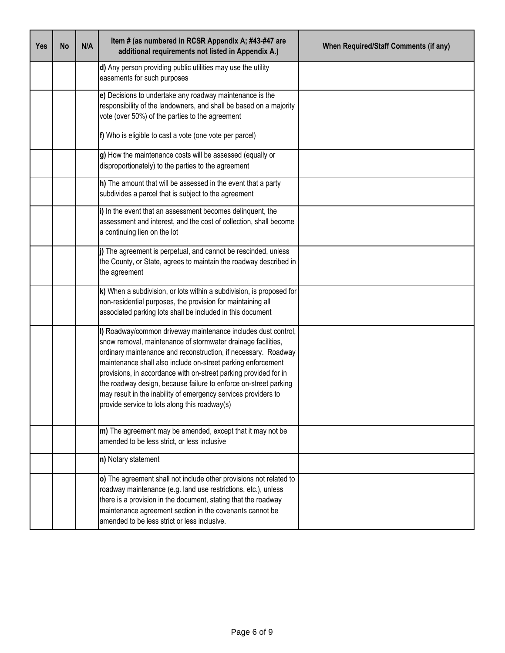| <b>Yes</b> | <b>No</b> | N/A | Item # (as numbered in RCSR Appendix A; #43-#47 are<br>additional requirements not listed in Appendix A.)                                                                                                                                                                                                                                                                                                                                                                                                                  | <b>When Required/Staff Comments (if any)</b> |
|------------|-----------|-----|----------------------------------------------------------------------------------------------------------------------------------------------------------------------------------------------------------------------------------------------------------------------------------------------------------------------------------------------------------------------------------------------------------------------------------------------------------------------------------------------------------------------------|----------------------------------------------|
|            |           |     | d) Any person providing public utilities may use the utility<br>easements for such purposes                                                                                                                                                                                                                                                                                                                                                                                                                                |                                              |
|            |           |     | e) Decisions to undertake any roadway maintenance is the<br>responsibility of the landowners, and shall be based on a majority<br>vote (over 50%) of the parties to the agreement                                                                                                                                                                                                                                                                                                                                          |                                              |
|            |           |     | f) Who is eligible to cast a vote (one vote per parcel)                                                                                                                                                                                                                                                                                                                                                                                                                                                                    |                                              |
|            |           |     | g) How the maintenance costs will be assessed (equally or<br>disproportionately) to the parties to the agreement                                                                                                                                                                                                                                                                                                                                                                                                           |                                              |
|            |           |     | h) The amount that will be assessed in the event that a party<br>subdivides a parcel that is subject to the agreement                                                                                                                                                                                                                                                                                                                                                                                                      |                                              |
|            |           |     | i) In the event that an assessment becomes delinquent, the<br>assessment and interest, and the cost of collection, shall become<br>a continuing lien on the lot                                                                                                                                                                                                                                                                                                                                                            |                                              |
|            |           |     | j) The agreement is perpetual, and cannot be rescinded, unless<br>the County, or State, agrees to maintain the roadway described in<br>the agreement                                                                                                                                                                                                                                                                                                                                                                       |                                              |
|            |           |     | k) When a subdivision, or lots within a subdivision, is proposed for<br>non-residential purposes, the provision for maintaining all<br>associated parking lots shall be included in this document                                                                                                                                                                                                                                                                                                                          |                                              |
|            |           |     | I) Roadway/common driveway maintenance includes dust control,<br>snow removal, maintenance of stormwater drainage facilities,<br>ordinary maintenance and reconstruction, if necessary. Roadway<br>maintenance shall also include on-street parking enforcement<br>provisions, in accordance with on-street parking provided for in<br>the roadway design, because failure to enforce on-street parking<br>may result in the inability of emergency services providers to<br>provide service to lots along this roadway(s) |                                              |
|            |           |     | m) The agreement may be amended, except that it may not be<br>amended to be less strict, or less inclusive                                                                                                                                                                                                                                                                                                                                                                                                                 |                                              |
|            |           |     | n) Notary statement                                                                                                                                                                                                                                                                                                                                                                                                                                                                                                        |                                              |
|            |           |     | o) The agreement shall not include other provisions not related to<br>roadway maintenance (e.g. land use restrictions, etc.), unless<br>there is a provision in the document, stating that the roadway<br>maintenance agreement section in the covenants cannot be<br>amended to be less strict or less inclusive.                                                                                                                                                                                                         |                                              |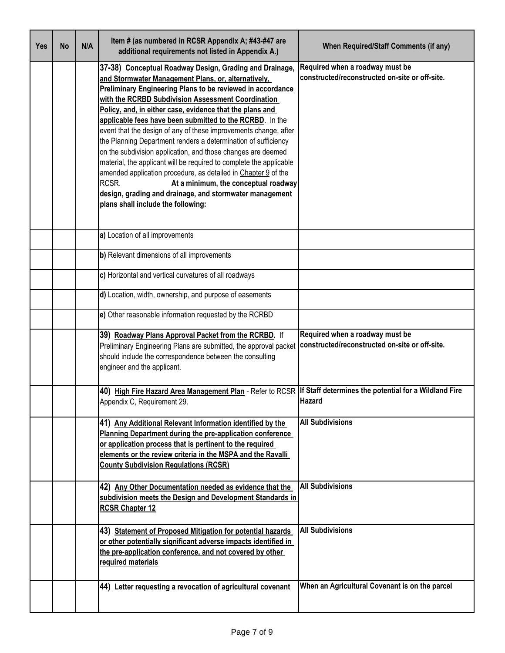| Yes | <b>No</b> | N/A | Item # (as numbered in RCSR Appendix A; #43-#47 are<br>additional requirements not listed in Appendix A.)                                                                                                                                                                                                                                                                                                                                                                                                                                                                                                                                                                                                                                                                                                                                                          | <b>When Required/Staff Comments (if any)</b>                                      |
|-----|-----------|-----|--------------------------------------------------------------------------------------------------------------------------------------------------------------------------------------------------------------------------------------------------------------------------------------------------------------------------------------------------------------------------------------------------------------------------------------------------------------------------------------------------------------------------------------------------------------------------------------------------------------------------------------------------------------------------------------------------------------------------------------------------------------------------------------------------------------------------------------------------------------------|-----------------------------------------------------------------------------------|
|     |           |     | 37-38) Conceptual Roadway Design, Grading and Drainage,<br>and Stormwater Management Plans, or, alternatively,<br><b>Preliminary Engineering Plans to be reviewed in accordance</b><br>with the RCRBD Subdivision Assessment Coordination<br>Policy, and, in either case, evidence that the plans and<br>applicable fees have been submitted to the RCRBD. In the<br>event that the design of any of these improvements change, after<br>the Planning Department renders a determination of sufficiency<br>on the subdivision application, and those changes are deemed<br>material, the applicant will be required to complete the applicable<br>amended application procedure, as detailed in Chapter 9 of the<br>RCSR.<br>At a minimum, the conceptual roadway<br>design, grading and drainage, and stormwater management<br>plans shall include the following: | Required when a roadway must be<br>constructed/reconstructed on-site or off-site. |
|     |           |     | a) Location of all improvements                                                                                                                                                                                                                                                                                                                                                                                                                                                                                                                                                                                                                                                                                                                                                                                                                                    |                                                                                   |
|     |           |     | b) Relevant dimensions of all improvements                                                                                                                                                                                                                                                                                                                                                                                                                                                                                                                                                                                                                                                                                                                                                                                                                         |                                                                                   |
|     |           |     | c) Horizontal and vertical curvatures of all roadways                                                                                                                                                                                                                                                                                                                                                                                                                                                                                                                                                                                                                                                                                                                                                                                                              |                                                                                   |
|     |           |     | d) Location, width, ownership, and purpose of easements                                                                                                                                                                                                                                                                                                                                                                                                                                                                                                                                                                                                                                                                                                                                                                                                            |                                                                                   |
|     |           |     | e) Other reasonable information requested by the RCRBD                                                                                                                                                                                                                                                                                                                                                                                                                                                                                                                                                                                                                                                                                                                                                                                                             |                                                                                   |
|     |           |     | 39) Roadway Plans Approval Packet from the RCRBD. If<br>Preliminary Engineering Plans are submitted, the approval packet<br>should include the correspondence between the consulting<br>engineer and the applicant.                                                                                                                                                                                                                                                                                                                                                                                                                                                                                                                                                                                                                                                | Required when a roadway must be<br>constructed/reconstructed on-site or off-site. |
|     |           |     | 40) High Fire Hazard Area Management Plan - Refer to RCSR If Staff determines the potential for a Wildland Fire<br>Appendix C, Requirement 29                                                                                                                                                                                                                                                                                                                                                                                                                                                                                                                                                                                                                                                                                                                      | <b>Hazard</b>                                                                     |
|     |           |     | 41) Any Additional Relevant Information identified by the<br>Planning Department during the pre-application conference<br>or application process that is pertinent to the required<br>elements or the review criteria in the MSPA and the Ravalli<br><b>County Subdivision Regulations (RCSR)</b>                                                                                                                                                                                                                                                                                                                                                                                                                                                                                                                                                                  | <b>All Subdivisions</b>                                                           |
|     |           |     | 42) Any Other Documentation needed as evidence that the<br>subdivision meets the Design and Development Standards in<br><b>RCSR Chapter 12</b>                                                                                                                                                                                                                                                                                                                                                                                                                                                                                                                                                                                                                                                                                                                     | <b>All Subdivisions</b>                                                           |
|     |           |     | 43) Statement of Proposed Mitigation for potential hazards<br>or other potentially significant adverse impacts identified in<br>the pre-application conference, and not covered by other<br>required materials                                                                                                                                                                                                                                                                                                                                                                                                                                                                                                                                                                                                                                                     | <b>All Subdivisions</b>                                                           |
|     |           |     | 44) Letter requesting a revocation of agricultural covenant                                                                                                                                                                                                                                                                                                                                                                                                                                                                                                                                                                                                                                                                                                                                                                                                        | When an Agricultural Covenant is on the parcel                                    |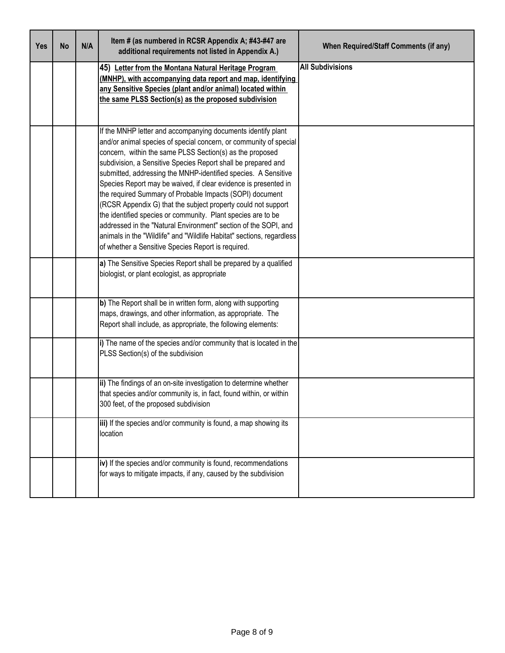| <b>Yes</b> | <b>No</b> | N/A | Item # (as numbered in RCSR Appendix A; #43-#47 are<br>additional requirements not listed in Appendix A.)                                                                                                                                                                                                                                                                                                                                                                                                                                                                                                                                                                                                                                                                                          | <b>When Required/Staff Comments (if any)</b> |
|------------|-----------|-----|----------------------------------------------------------------------------------------------------------------------------------------------------------------------------------------------------------------------------------------------------------------------------------------------------------------------------------------------------------------------------------------------------------------------------------------------------------------------------------------------------------------------------------------------------------------------------------------------------------------------------------------------------------------------------------------------------------------------------------------------------------------------------------------------------|----------------------------------------------|
|            |           |     | 45) Letter from the Montana Natural Heritage Program<br>(MNHP), with accompanying data report and map, identifying<br>any Sensitive Species (plant and/or animal) located within<br>the same PLSS Section(s) as the proposed subdivision                                                                                                                                                                                                                                                                                                                                                                                                                                                                                                                                                           | <b>All Subdivisions</b>                      |
|            |           |     | If the MNHP letter and accompanying documents identify plant<br>and/or animal species of special concern, or community of special<br>concern, within the same PLSS Section(s) as the proposed<br>subdivision, a Sensitive Species Report shall be prepared and<br>submitted, addressing the MNHP-identified species. A Sensitive<br>Species Report may be waived, if clear evidence is presented in<br>the required Summary of Probable Impacts (SOPI) document<br>(RCSR Appendix G) that the subject property could not support<br>the identified species or community. Plant species are to be<br>addressed in the "Natural Environment" section of the SOPI, and<br>animals in the "Wildlife" and "Wildlife Habitat" sections, regardless<br>of whether a Sensitive Species Report is required. |                                              |
|            |           |     | a) The Sensitive Species Report shall be prepared by a qualified<br>biologist, or plant ecologist, as appropriate                                                                                                                                                                                                                                                                                                                                                                                                                                                                                                                                                                                                                                                                                  |                                              |
|            |           |     | b) The Report shall be in written form, along with supporting<br>maps, drawings, and other information, as appropriate. The<br>Report shall include, as appropriate, the following elements:                                                                                                                                                                                                                                                                                                                                                                                                                                                                                                                                                                                                       |                                              |
|            |           |     | i) The name of the species and/or community that is located in the<br>PLSS Section(s) of the subdivision                                                                                                                                                                                                                                                                                                                                                                                                                                                                                                                                                                                                                                                                                           |                                              |
|            |           |     | ii) The findings of an on-site investigation to determine whether<br>that species and/or community is, in fact, found within, or within<br>300 feet, of the proposed subdivision                                                                                                                                                                                                                                                                                                                                                                                                                                                                                                                                                                                                                   |                                              |
|            |           |     | iii) If the species and/or community is found, a map showing its<br>location                                                                                                                                                                                                                                                                                                                                                                                                                                                                                                                                                                                                                                                                                                                       |                                              |
|            |           |     | iv) If the species and/or community is found, recommendations<br>for ways to mitigate impacts, if any, caused by the subdivision                                                                                                                                                                                                                                                                                                                                                                                                                                                                                                                                                                                                                                                                   |                                              |